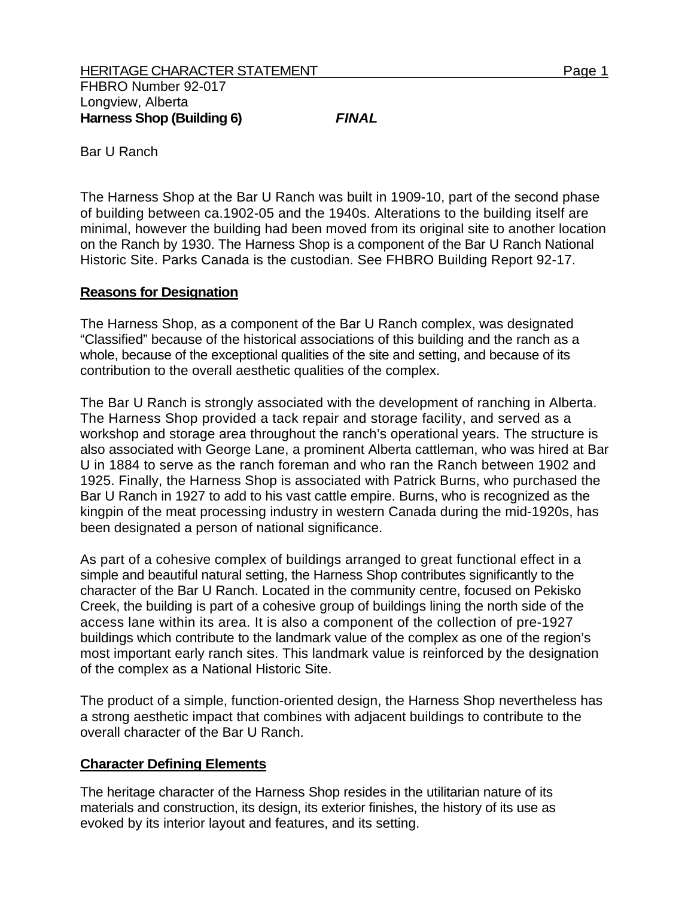Bar U Ranch

The Harness Shop at the Bar U Ranch was built in 1909-10, part of the second phase of building between ca.1902-05 and the 1940s. Alterations to the building itself are minimal, however the building had been moved from its original site to another location on the Ranch by 1930. The Harness Shop is a component of the Bar U Ranch National Historic Site. Parks Canada is the custodian. See FHBRO Building Report 92-17.

## **Reasons for Designation**

The Harness Shop, as a component of the Bar U Ranch complex, was designated "Classified" because of the historical associations of this building and the ranch as a whole, because of the exceptional qualities of the site and setting, and because of its contribution to the overall aesthetic qualities of the complex.

The Bar U Ranch is strongly associated with the development of ranching in Alberta. The Harness Shop provided a tack repair and storage facility, and served as a workshop and storage area throughout the ranch's operational years. The structure is also associated with George Lane, a prominent Alberta cattleman, who was hired at Bar U in 1884 to serve as the ranch foreman and who ran the Ranch between 1902 and 1925. Finally, the Harness Shop is associated with Patrick Burns, who purchased the Bar U Ranch in 1927 to add to his vast cattle empire. Burns, who is recognized as the kingpin of the meat processing industry in western Canada during the mid-1920s, has been designated a person of national significance.

As part of a cohesive complex of buildings arranged to great functional effect in a simple and beautiful natural setting, the Harness Shop contributes significantly to the character of the Bar U Ranch. Located in the community centre, focused on Pekisko Creek, the building is part of a cohesive group of buildings lining the north side of the access lane within its area. It is also a component of the collection of pre-1927 buildings which contribute to the landmark value of the complex as one of the region's most important early ranch sites. This landmark value is reinforced by the designation of the complex as a National Historic Site.

The product of a simple, function-oriented design, the Harness Shop nevertheless has a strong aesthetic impact that combines with adjacent buildings to contribute to the overall character of the Bar U Ranch.

## **Character Defining Elements**

The heritage character of the Harness Shop resides in the utilitarian nature of its materials and construction, its design, its exterior finishes, the history of its use as evoked by its interior layout and features, and its setting.